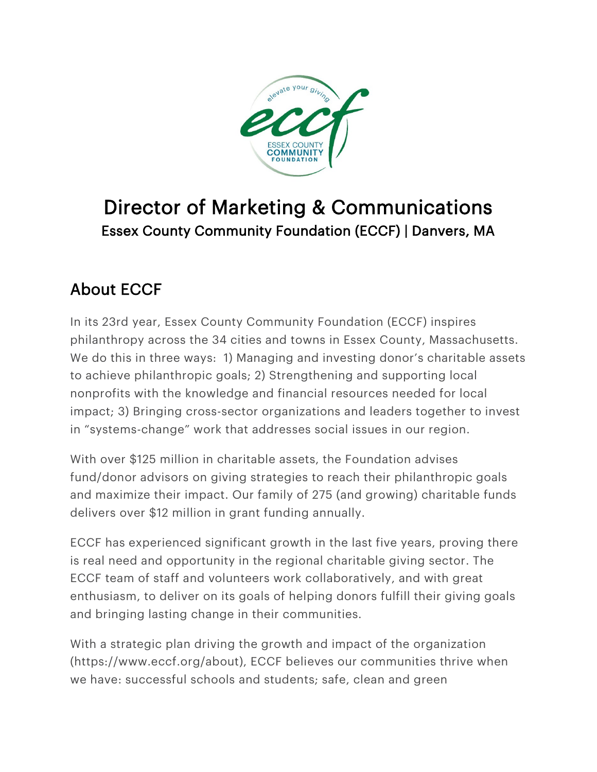

# Director of Marketing & Communications Essex County Community Foundation (ECCF) | Danvers, MA

## About ECCF

In its 23rd year, Essex County Community Foundation (ECCF) inspires philanthropy across the 34 cities and towns in Essex County, Massachusetts. We do this in three ways: 1) Managing and investing donor's charitable assets to achieve philanthropic goals; 2) Strengthening and supporting local nonprofits with the knowledge and financial resources needed for local impact; 3) Bringing cross-sector organizations and leaders together to invest in "systems-change" work that addresses social issues in our region.

With over \$125 million in charitable assets, the Foundation advises fund/donor advisors on giving strategies to reach their philanthropic goals and maximize their impact. Our family of 275 (and growing) charitable funds delivers over \$12 million in grant funding annually.

ECCF has experienced significant growth in the last five years, proving there is real need and opportunity in the regional charitable giving sector. The ECCF team of staff and volunteers work collaboratively, and with great enthusiasm, to deliver on its goals of helping donors fulfill their giving goals and bringing lasting change in their communities.

With a strategic plan driving the growth and impact of the organization [\(https://www.eccf.org/about\)](https://www.eccf.org/about), ECCF believes our communities thrive when we have: successful schools and students; safe, clean and green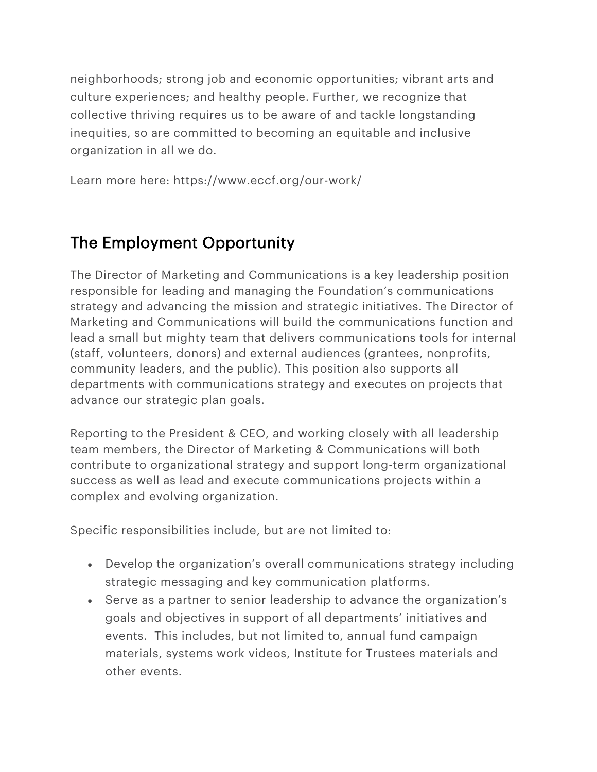neighborhoods; strong job and economic opportunities; vibrant arts and culture experiences; and healthy people. Further, we recognize that collective thriving requires us to be aware of and tackle longstanding inequities, so are committed to becoming an equitable and inclusive organization in all we do.

Learn more here: <https://www.eccf.org/our-work/>

#### The Employment Opportunity

The Director of Marketing and Communications is a key leadership position responsible for leading and managing the Foundation's communications strategy and advancing the mission and strategic initiatives. The Director of Marketing and Communications will build the communications function and lead a small but mighty team that delivers communications tools for internal (staff, volunteers, donors) and external audiences (grantees, nonprofits, community leaders, and the public). This position also supports all departments with communications strategy and executes on projects that advance our strategic plan goals.

Reporting to the President & CEO, and working closely with all leadership team members, the Director of Marketing & Communications will both contribute to organizational strategy and support long-term organizational success as well as lead and execute communications projects within a complex and evolving organization.

Specific responsibilities include, but are not limited to:

- Develop the organization's overall communications strategy including strategic messaging and key communication platforms.
- Serve as a partner to senior leadership to advance the organization's goals and objectives in support of all departments' initiatives and events. This includes, but not limited to, annual fund campaign materials, systems work videos, Institute for Trustees materials and other events.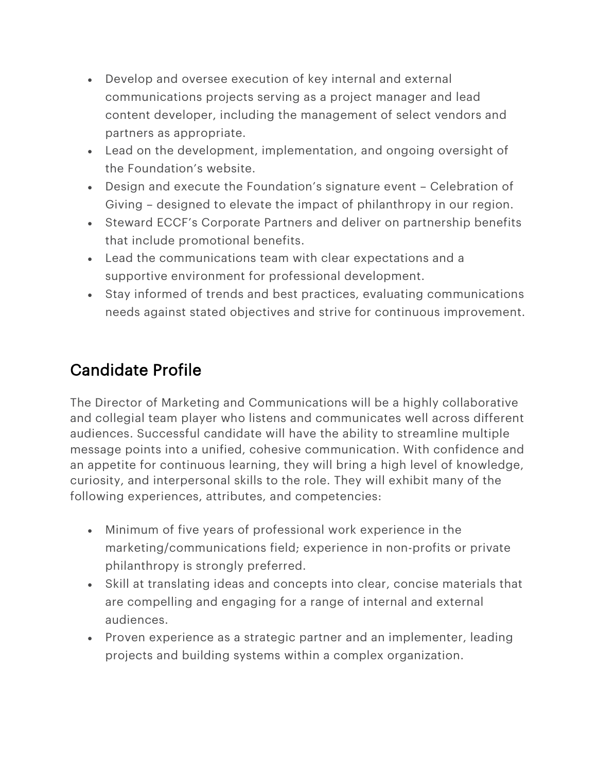- Develop and oversee execution of key internal and external communications projects serving as a project manager and lead content developer, including the management of select vendors and partners as appropriate.
- Lead on the development, implementation, and ongoing oversight of the Foundation's website.
- Design and execute the Foundation's signature event Celebration of Giving – designed to elevate the impact of philanthropy in our region.
- Steward ECCF's Corporate Partners and deliver on partnership benefits that include promotional benefits.
- Lead the communications team with clear expectations and a supportive environment for professional development.
- Stay informed of trends and best practices, evaluating communications needs against stated objectives and strive for continuous improvement.

### Candidate Profile

The Director of Marketing and Communications will be a highly collaborative and collegial team player who listens and communicates well across different audiences. Successful candidate will have the ability to streamline multiple message points into a unified, cohesive communication. With confidence and an appetite for continuous learning, they will bring a high level of knowledge, curiosity, and interpersonal skills to the role. They will exhibit many of the following experiences, attributes, and competencies:

- Minimum of five years of professional work experience in the marketing/communications field; experience in non-profits or private philanthropy is strongly preferred.
- Skill at translating ideas and concepts into clear, concise materials that are compelling and engaging for a range of internal and external audiences.
- Proven experience as a strategic partner and an implementer, leading projects and building systems within a complex organization.